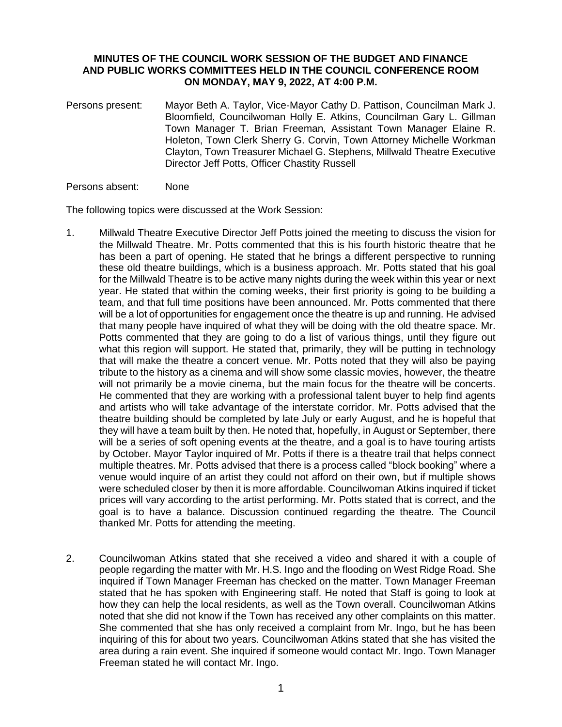## **MINUTES OF THE COUNCIL WORK SESSION OF THE BUDGET AND FINANCE AND PUBLIC WORKS COMMITTEES HELD IN THE COUNCIL CONFERENCE ROOM ON MONDAY, MAY 9, 2022, AT 4:00 P.M.**

Persons present: Mayor Beth A. Taylor, Vice-Mayor Cathy D. Pattison, Councilman Mark J. Bloomfield, Councilwoman Holly E. Atkins, Councilman Gary L. Gillman Town Manager T. Brian Freeman, Assistant Town Manager Elaine R. Holeton, Town Clerk Sherry G. Corvin, Town Attorney Michelle Workman Clayton, Town Treasurer Michael G. Stephens, Millwald Theatre Executive Director Jeff Potts, Officer Chastity Russell

## Persons absent: None

The following topics were discussed at the Work Session:

- 1. Millwald Theatre Executive Director Jeff Potts joined the meeting to discuss the vision for the Millwald Theatre. Mr. Potts commented that this is his fourth historic theatre that he has been a part of opening. He stated that he brings a different perspective to running these old theatre buildings, which is a business approach. Mr. Potts stated that his goal for the Millwald Theatre is to be active many nights during the week within this year or next year. He stated that within the coming weeks, their first priority is going to be building a team, and that full time positions have been announced. Mr. Potts commented that there will be a lot of opportunities for engagement once the theatre is up and running. He advised that many people have inquired of what they will be doing with the old theatre space. Mr. Potts commented that they are going to do a list of various things, until they figure out what this region will support. He stated that, primarily, they will be putting in technology that will make the theatre a concert venue. Mr. Potts noted that they will also be paying tribute to the history as a cinema and will show some classic movies, however, the theatre will not primarily be a movie cinema, but the main focus for the theatre will be concerts. He commented that they are working with a professional talent buyer to help find agents and artists who will take advantage of the interstate corridor. Mr. Potts advised that the theatre building should be completed by late July or early August, and he is hopeful that they will have a team built by then. He noted that, hopefully, in August or September, there will be a series of soft opening events at the theatre, and a goal is to have touring artists by October. Mayor Taylor inquired of Mr. Potts if there is a theatre trail that helps connect multiple theatres. Mr. Potts advised that there is a process called "block booking" where a venue would inquire of an artist they could not afford on their own, but if multiple shows were scheduled closer by then it is more affordable. Councilwoman Atkins inquired if ticket prices will vary according to the artist performing. Mr. Potts stated that is correct, and the goal is to have a balance. Discussion continued regarding the theatre. The Council thanked Mr. Potts for attending the meeting.
- 2. Councilwoman Atkins stated that she received a video and shared it with a couple of people regarding the matter with Mr. H.S. Ingo and the flooding on West Ridge Road. She inquired if Town Manager Freeman has checked on the matter. Town Manager Freeman stated that he has spoken with Engineering staff. He noted that Staff is going to look at how they can help the local residents, as well as the Town overall. Councilwoman Atkins noted that she did not know if the Town has received any other complaints on this matter. She commented that she has only received a complaint from Mr. Ingo, but he has been inquiring of this for about two years. Councilwoman Atkins stated that she has visited the area during a rain event. She inquired if someone would contact Mr. Ingo. Town Manager Freeman stated he will contact Mr. Ingo.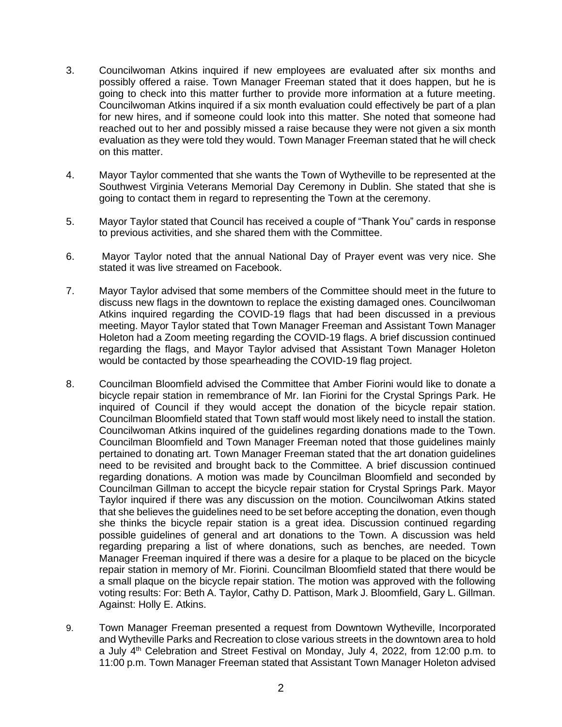- 3. Councilwoman Atkins inquired if new employees are evaluated after six months and possibly offered a raise. Town Manager Freeman stated that it does happen, but he is going to check into this matter further to provide more information at a future meeting. Councilwoman Atkins inquired if a six month evaluation could effectively be part of a plan for new hires, and if someone could look into this matter. She noted that someone had reached out to her and possibly missed a raise because they were not given a six month evaluation as they were told they would. Town Manager Freeman stated that he will check on this matter.
- 4. Mayor Taylor commented that she wants the Town of Wytheville to be represented at the Southwest Virginia Veterans Memorial Day Ceremony in Dublin. She stated that she is going to contact them in regard to representing the Town at the ceremony.
- 5. Mayor Taylor stated that Council has received a couple of "Thank You" cards in response to previous activities, and she shared them with the Committee.
- 6. Mayor Taylor noted that the annual National Day of Prayer event was very nice. She stated it was live streamed on Facebook.
- 7. Mayor Taylor advised that some members of the Committee should meet in the future to discuss new flags in the downtown to replace the existing damaged ones. Councilwoman Atkins inquired regarding the COVID-19 flags that had been discussed in a previous meeting. Mayor Taylor stated that Town Manager Freeman and Assistant Town Manager Holeton had a Zoom meeting regarding the COVID-19 flags. A brief discussion continued regarding the flags, and Mayor Taylor advised that Assistant Town Manager Holeton would be contacted by those spearheading the COVID-19 flag project.
- 8. Councilman Bloomfield advised the Committee that Amber Fiorini would like to donate a bicycle repair station in remembrance of Mr. Ian Fiorini for the Crystal Springs Park. He inquired of Council if they would accept the donation of the bicycle repair station. Councilman Bloomfield stated that Town staff would most likely need to install the station. Councilwoman Atkins inquired of the guidelines regarding donations made to the Town. Councilman Bloomfield and Town Manager Freeman noted that those guidelines mainly pertained to donating art. Town Manager Freeman stated that the art donation guidelines need to be revisited and brought back to the Committee. A brief discussion continued regarding donations. A motion was made by Councilman Bloomfield and seconded by Councilman Gillman to accept the bicycle repair station for Crystal Springs Park. Mayor Taylor inquired if there was any discussion on the motion. Councilwoman Atkins stated that she believes the guidelines need to be set before accepting the donation, even though she thinks the bicycle repair station is a great idea. Discussion continued regarding possible guidelines of general and art donations to the Town. A discussion was held regarding preparing a list of where donations, such as benches, are needed. Town Manager Freeman inquired if there was a desire for a plaque to be placed on the bicycle repair station in memory of Mr. Fiorini. Councilman Bloomfield stated that there would be a small plaque on the bicycle repair station. The motion was approved with the following voting results: For: Beth A. Taylor, Cathy D. Pattison, Mark J. Bloomfield, Gary L. Gillman. Against: Holly E. Atkins.
- 9. Town Manager Freeman presented a request from Downtown Wytheville, Incorporated and Wytheville Parks and Recreation to close various streets in the downtown area to hold a July 4<sup>th</sup> Celebration and Street Festival on Monday, July 4, 2022, from 12:00 p.m. to 11:00 p.m. Town Manager Freeman stated that Assistant Town Manager Holeton advised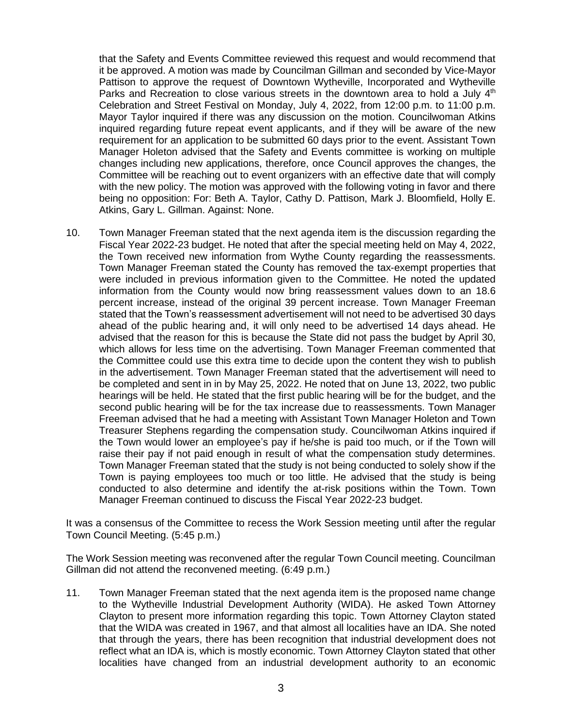that the Safety and Events Committee reviewed this request and would recommend that it be approved. A motion was made by Councilman Gillman and seconded by Vice-Mayor Pattison to approve the request of Downtown Wytheville, Incorporated and Wytheville Parks and Recreation to close various streets in the downtown area to hold a July  $4<sup>th</sup>$ Celebration and Street Festival on Monday, July 4, 2022, from 12:00 p.m. to 11:00 p.m. Mayor Taylor inquired if there was any discussion on the motion. Councilwoman Atkins inquired regarding future repeat event applicants, and if they will be aware of the new requirement for an application to be submitted 60 days prior to the event. Assistant Town Manager Holeton advised that the Safety and Events committee is working on multiple changes including new applications, therefore, once Council approves the changes, the Committee will be reaching out to event organizers with an effective date that will comply with the new policy. The motion was approved with the following voting in favor and there being no opposition: For: Beth A. Taylor, Cathy D. Pattison, Mark J. Bloomfield, Holly E. Atkins, Gary L. Gillman. Against: None.

10. Town Manager Freeman stated that the next agenda item is the discussion regarding the Fiscal Year 2022-23 budget. He noted that after the special meeting held on May 4, 2022, the Town received new information from Wythe County regarding the reassessments. Town Manager Freeman stated the County has removed the tax-exempt properties that were included in previous information given to the Committee. He noted the updated information from the County would now bring reassessment values down to an 18.6 percent increase, instead of the original 39 percent increase. Town Manager Freeman stated that the Town's reassessment advertisement will not need to be advertised 30 days ahead of the public hearing and, it will only need to be advertised 14 days ahead. He advised that the reason for this is because the State did not pass the budget by April 30, which allows for less time on the advertising. Town Manager Freeman commented that the Committee could use this extra time to decide upon the content they wish to publish in the advertisement. Town Manager Freeman stated that the advertisement will need to be completed and sent in in by May 25, 2022. He noted that on June 13, 2022, two public hearings will be held. He stated that the first public hearing will be for the budget, and the second public hearing will be for the tax increase due to reassessments. Town Manager Freeman advised that he had a meeting with Assistant Town Manager Holeton and Town Treasurer Stephens regarding the compensation study. Councilwoman Atkins inquired if the Town would lower an employee's pay if he/she is paid too much, or if the Town will raise their pay if not paid enough in result of what the compensation study determines. Town Manager Freeman stated that the study is not being conducted to solely show if the Town is paying employees too much or too little. He advised that the study is being conducted to also determine and identify the at-risk positions within the Town. Town Manager Freeman continued to discuss the Fiscal Year 2022-23 budget.

It was a consensus of the Committee to recess the Work Session meeting until after the regular Town Council Meeting. (5:45 p.m.)

The Work Session meeting was reconvened after the regular Town Council meeting. Councilman Gillman did not attend the reconvened meeting. (6:49 p.m.)

11. Town Manager Freeman stated that the next agenda item is the proposed name change to the Wytheville Industrial Development Authority (WIDA). He asked Town Attorney Clayton to present more information regarding this topic. Town Attorney Clayton stated that the WIDA was created in 1967, and that almost all localities have an IDA. She noted that through the years, there has been recognition that industrial development does not reflect what an IDA is, which is mostly economic. Town Attorney Clayton stated that other localities have changed from an industrial development authority to an economic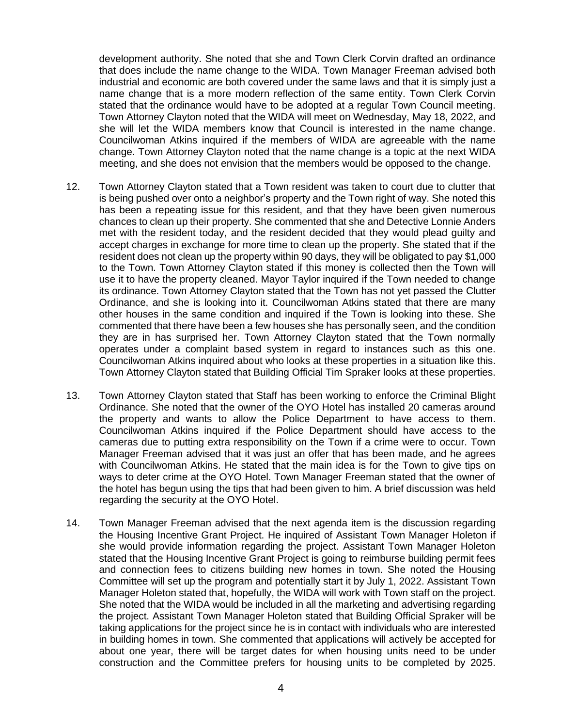development authority. She noted that she and Town Clerk Corvin drafted an ordinance that does include the name change to the WIDA. Town Manager Freeman advised both industrial and economic are both covered under the same laws and that it is simply just a name change that is a more modern reflection of the same entity. Town Clerk Corvin stated that the ordinance would have to be adopted at a regular Town Council meeting. Town Attorney Clayton noted that the WIDA will meet on Wednesday, May 18, 2022, and she will let the WIDA members know that Council is interested in the name change. Councilwoman Atkins inquired if the members of WIDA are agreeable with the name change. Town Attorney Clayton noted that the name change is a topic at the next WIDA meeting, and she does not envision that the members would be opposed to the change.

- 12. Town Attorney Clayton stated that a Town resident was taken to court due to clutter that is being pushed over onto a neighbor's property and the Town right of way. She noted this has been a repeating issue for this resident, and that they have been given numerous chances to clean up their property. She commented that she and Detective Lonnie Anders met with the resident today, and the resident decided that they would plead guilty and accept charges in exchange for more time to clean up the property. She stated that if the resident does not clean up the property within 90 days, they will be obligated to pay \$1,000 to the Town. Town Attorney Clayton stated if this money is collected then the Town will use it to have the property cleaned. Mayor Taylor inquired if the Town needed to change its ordinance. Town Attorney Clayton stated that the Town has not yet passed the Clutter Ordinance, and she is looking into it. Councilwoman Atkins stated that there are many other houses in the same condition and inquired if the Town is looking into these. She commented that there have been a few houses she has personally seen, and the condition they are in has surprised her. Town Attorney Clayton stated that the Town normally operates under a complaint based system in regard to instances such as this one. Councilwoman Atkins inquired about who looks at these properties in a situation like this. Town Attorney Clayton stated that Building Official Tim Spraker looks at these properties.
- 13. Town Attorney Clayton stated that Staff has been working to enforce the Criminal Blight Ordinance. She noted that the owner of the OYO Hotel has installed 20 cameras around the property and wants to allow the Police Department to have access to them. Councilwoman Atkins inquired if the Police Department should have access to the cameras due to putting extra responsibility on the Town if a crime were to occur. Town Manager Freeman advised that it was just an offer that has been made, and he agrees with Councilwoman Atkins. He stated that the main idea is for the Town to give tips on ways to deter crime at the OYO Hotel. Town Manager Freeman stated that the owner of the hotel has begun using the tips that had been given to him. A brief discussion was held regarding the security at the OYO Hotel.
- 14. Town Manager Freeman advised that the next agenda item is the discussion regarding the Housing Incentive Grant Project. He inquired of Assistant Town Manager Holeton if she would provide information regarding the project. Assistant Town Manager Holeton stated that the Housing Incentive Grant Project is going to reimburse building permit fees and connection fees to citizens building new homes in town. She noted the Housing Committee will set up the program and potentially start it by July 1, 2022. Assistant Town Manager Holeton stated that, hopefully, the WIDA will work with Town staff on the project. She noted that the WIDA would be included in all the marketing and advertising regarding the project. Assistant Town Manager Holeton stated that Building Official Spraker will be taking applications for the project since he is in contact with individuals who are interested in building homes in town. She commented that applications will actively be accepted for about one year, there will be target dates for when housing units need to be under construction and the Committee prefers for housing units to be completed by 2025.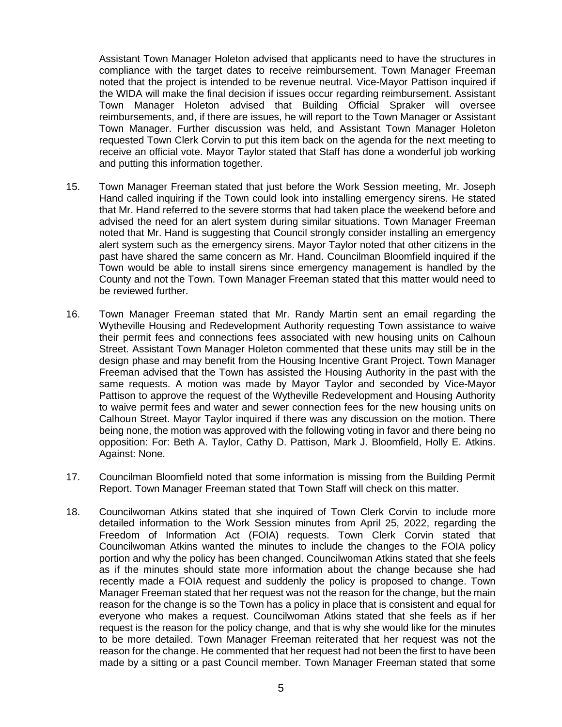Assistant Town Manager Holeton advised that applicants need to have the structures in compliance with the target dates to receive reimbursement. Town Manager Freeman noted that the project is intended to be revenue neutral. Vice-Mayor Pattison inquired if the WIDA will make the final decision if issues occur regarding reimbursement. Assistant Town Manager Holeton advised that Building Official Spraker will oversee reimbursements, and, if there are issues, he will report to the Town Manager or Assistant Town Manager. Further discussion was held, and Assistant Town Manager Holeton requested Town Clerk Corvin to put this item back on the agenda for the next meeting to receive an official vote. Mayor Taylor stated that Staff has done a wonderful job working and putting this information together.

- 15. Town Manager Freeman stated that just before the Work Session meeting, Mr. Joseph Hand called inquiring if the Town could look into installing emergency sirens. He stated that Mr. Hand referred to the severe storms that had taken place the weekend before and advised the need for an alert system during similar situations. Town Manager Freeman noted that Mr. Hand is suggesting that Council strongly consider installing an emergency alert system such as the emergency sirens. Mayor Taylor noted that other citizens in the past have shared the same concern as Mr. Hand. Councilman Bloomfield inquired if the Town would be able to install sirens since emergency management is handled by the County and not the Town. Town Manager Freeman stated that this matter would need to be reviewed further.
- 16. Town Manager Freeman stated that Mr. Randy Martin sent an email regarding the Wytheville Housing and Redevelopment Authority requesting Town assistance to waive their permit fees and connections fees associated with new housing units on Calhoun Street. Assistant Town Manager Holeton commented that these units may still be in the design phase and may benefit from the Housing Incentive Grant Project. Town Manager Freeman advised that the Town has assisted the Housing Authority in the past with the same requests. A motion was made by Mayor Taylor and seconded by Vice-Mayor Pattison to approve the request of the Wytheville Redevelopment and Housing Authority to waive permit fees and water and sewer connection fees for the new housing units on Calhoun Street. Mayor Taylor inquired if there was any discussion on the motion. There being none, the motion was approved with the following voting in favor and there being no opposition: For: Beth A. Taylor, Cathy D. Pattison, Mark J. Bloomfield, Holly E. Atkins. Against: None.
- 17. Councilman Bloomfield noted that some information is missing from the Building Permit Report. Town Manager Freeman stated that Town Staff will check on this matter.
- 18. Councilwoman Atkins stated that she inquired of Town Clerk Corvin to include more detailed information to the Work Session minutes from April 25, 2022, regarding the Freedom of Information Act (FOIA) requests. Town Clerk Corvin stated that Councilwoman Atkins wanted the minutes to include the changes to the FOIA policy portion and why the policy has been changed. Councilwoman Atkins stated that she feels as if the minutes should state more information about the change because she had recently made a FOIA request and suddenly the policy is proposed to change. Town Manager Freeman stated that her request was not the reason for the change, but the main reason for the change is so the Town has a policy in place that is consistent and equal for everyone who makes a request. Councilwoman Atkins stated that she feels as if her request is the reason for the policy change, and that is why she would like for the minutes to be more detailed. Town Manager Freeman reiterated that her request was not the reason for the change. He commented that her request had not been the first to have been made by a sitting or a past Council member. Town Manager Freeman stated that some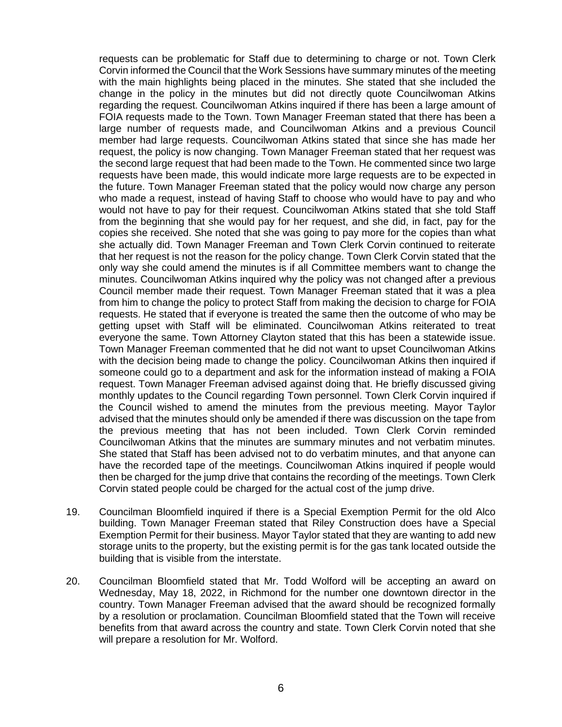requests can be problematic for Staff due to determining to charge or not. Town Clerk Corvin informed the Council that the Work Sessions have summary minutes of the meeting with the main highlights being placed in the minutes. She stated that she included the change in the policy in the minutes but did not directly quote Councilwoman Atkins regarding the request. Councilwoman Atkins inquired if there has been a large amount of FOIA requests made to the Town. Town Manager Freeman stated that there has been a large number of requests made, and Councilwoman Atkins and a previous Council member had large requests. Councilwoman Atkins stated that since she has made her request, the policy is now changing. Town Manager Freeman stated that her request was the second large request that had been made to the Town. He commented since two large requests have been made, this would indicate more large requests are to be expected in the future. Town Manager Freeman stated that the policy would now charge any person who made a request, instead of having Staff to choose who would have to pay and who would not have to pay for their request. Councilwoman Atkins stated that she told Staff from the beginning that she would pay for her request, and she did, in fact, pay for the copies she received. She noted that she was going to pay more for the copies than what she actually did. Town Manager Freeman and Town Clerk Corvin continued to reiterate that her request is not the reason for the policy change. Town Clerk Corvin stated that the only way she could amend the minutes is if all Committee members want to change the minutes. Councilwoman Atkins inquired why the policy was not changed after a previous Council member made their request. Town Manager Freeman stated that it was a plea from him to change the policy to protect Staff from making the decision to charge for FOIA requests. He stated that if everyone is treated the same then the outcome of who may be getting upset with Staff will be eliminated. Councilwoman Atkins reiterated to treat everyone the same. Town Attorney Clayton stated that this has been a statewide issue. Town Manager Freeman commented that he did not want to upset Councilwoman Atkins with the decision being made to change the policy. Councilwoman Atkins then inquired if someone could go to a department and ask for the information instead of making a FOIA request. Town Manager Freeman advised against doing that. He briefly discussed giving monthly updates to the Council regarding Town personnel. Town Clerk Corvin inquired if the Council wished to amend the minutes from the previous meeting. Mayor Taylor advised that the minutes should only be amended if there was discussion on the tape from the previous meeting that has not been included. Town Clerk Corvin reminded Councilwoman Atkins that the minutes are summary minutes and not verbatim minutes. She stated that Staff has been advised not to do verbatim minutes, and that anyone can have the recorded tape of the meetings. Councilwoman Atkins inquired if people would then be charged for the jump drive that contains the recording of the meetings. Town Clerk Corvin stated people could be charged for the actual cost of the jump drive.

- 19. Councilman Bloomfield inquired if there is a Special Exemption Permit for the old Alco building. Town Manager Freeman stated that Riley Construction does have a Special Exemption Permit for their business. Mayor Taylor stated that they are wanting to add new storage units to the property, but the existing permit is for the gas tank located outside the building that is visible from the interstate.
- 20. Councilman Bloomfield stated that Mr. Todd Wolford will be accepting an award on Wednesday, May 18, 2022, in Richmond for the number one downtown director in the country. Town Manager Freeman advised that the award should be recognized formally by a resolution or proclamation. Councilman Bloomfield stated that the Town will receive benefits from that award across the country and state. Town Clerk Corvin noted that she will prepare a resolution for Mr. Wolford.